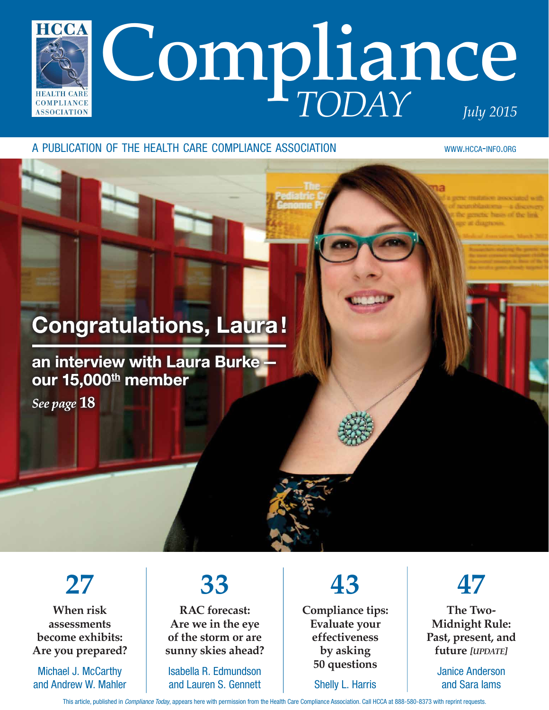

#### A PUBLICATION OF THE HEALTH CARE COMPLIANCE ASSOCIATION WWW.HCCA-INFO.ORG

## Congratulations, Laura!

### an interview with Laura Burke our 15,000<sup>th</sup> member

*See page* **18**

**27**

**When risk assessments become exhibits: Are you prepared?**

Michael J. McCarthy and Andrew W. Mahler

# **33**

**RAC forecast: Are we in the eye of the storm or are sunny skies ahead?**

Isabella R. Edmundson and Lauren S. Gennett

**43 Compliance tips: Evaluate your effectiveness by asking 50 questions**

Shelly L. Harris

**47**

**The Two-Midnight Rule: Past, present, and future** *[UPDATE]*

> Janice Anderson and Sara Iams

This article, published in Compliance Today, appears here with permission from the Health Care Compliance Association. Call HCCA at 888-580-8373 with reprint requests.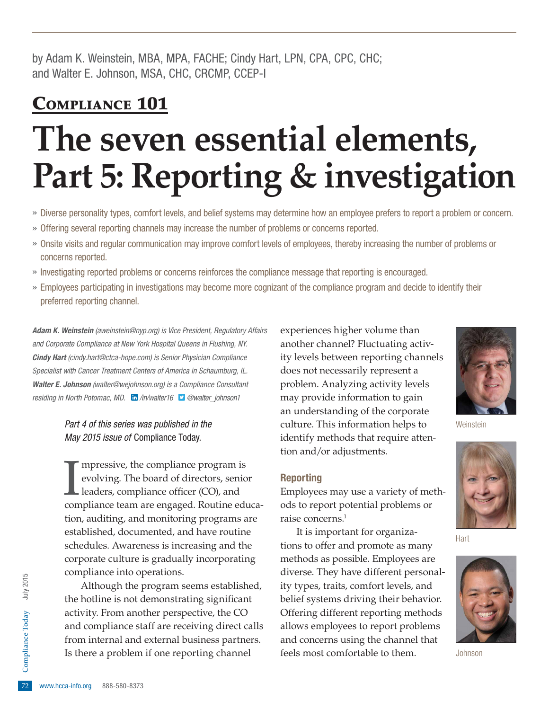by Adam K. Weinstein, MBA, MPA, FACHE; Cindy Hart, LPN, CPA, CPC, CHC; and Walter E. Johnson, MSA, CHC, CRCMP, CCEP-I

## COMPLIANCE 101

# **The seven essential elements, Part 5: Reporting & investigation**

- » Diverse personality types, comfort levels, and belief systems may determine how an employee prefers to report a problem or concern.
- » Offering several reporting channels may increase the number of problems or concerns reported.
- » Onsite visits and regular communication may improve comfort levels of employees, thereby increasing the number of problems or concerns reported.
- » Investigating reported problems or concerns reinforces the compliance message that reporting is encouraged.
- » Employees participating in investigations may become more cognizant of the compliance program and decide to identify their preferred reporting channel.

Adam K. Weinstein (aweinstein@nyp.org) is Vice President, Regulatory Affairs and Corporate Compliance at New York Hospital Queens in Flushing, NY. **Cindy Hart** (cindy.hart@ctca-hope.com) is Senior Physician Compliance Specialist with Cancer Treatment Centers of America in Schaumburg, IL. Walter E. Johnson (walter@wejohnson.org) is a Compliance Consultant residing in North Potomac, MD. in [/in/walter16](https://www.linkedin.com/in/walter16) **D** [@walter\\_johnson1](http://twitter.com/walter_johnson1)

> Part 4 of this series was published in the May 2015 issue of Compliance Today.

Impressive, the compliance program is<br>
evolving. The board of directors, senior<br>
leaders, compliance officer (CO), and<br>
compliance team are engaged. Routine educampressive, the compliance program is evolving. The board of directors, senior leaders, compliance officer (CO), and tion, auditing, and monitoring programs are established, documented, and have routine schedules. Awareness is increasing and the corporate culture is gradually incorporating compliance into operations.

From internal and external business partners.<br>
Is there a problem if one reporting channel<br>
Fractional Box 1888-580-8373 Although the program seems established, the hotline is not demonstrating signifcant activity. From another perspective, the CO and compliance staff are receiving direct calls Is there a problem if one reporting channel

experiences higher volume than another channel? Fluctuating activity levels between reporting channels does not necessarily represent a problem. Analyzing activity levels may provide information to gain an understanding of the corporate culture. This information helps to identify methods that require attention and/or adjustments.

#### Reporting

Employees may use a variety of methods to report potential problems or raise concerns.1

It is important for organizations to offer and promote as many methods as possible. Employees are diverse. They have different personality types, traits, comfort levels, and belief systems driving their behavior. Offering different reporting methods allows employees to report problems and concerns using the channel that feels most comfortable to them.



**Weinstein** 



Hart



Johnson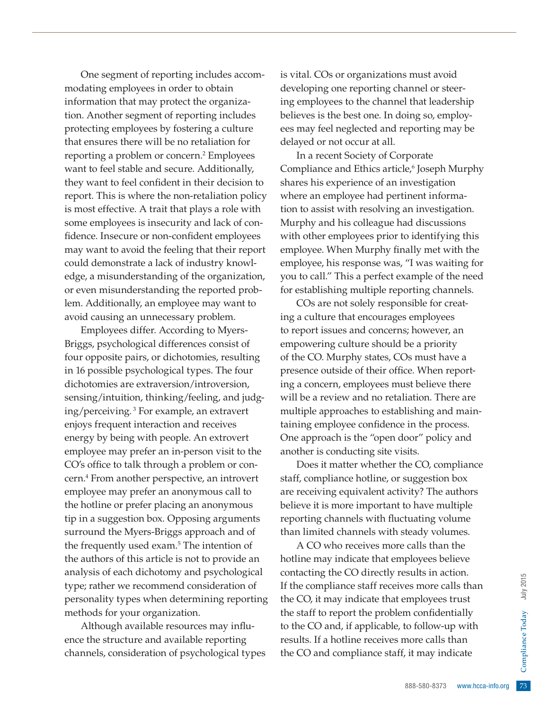One segment of reporting includes accommodating employees in order to obtain information that may protect the organization. Another segment of reporting includes protecting employees by fostering a culture that ensures there will be no retaliation for reporting a problem or concern.<sup>2</sup> Employees want to feel stable and secure. Additionally, they want to feel confident in their decision to report. This is where the non-retaliation policy is most effective. A trait that plays a role with some employees is insecurity and lack of confidence. Insecure or non-confident employees may want to avoid the feeling that their report could demonstrate a lack of industry knowledge, a misunderstanding of the organization, or even misunderstanding the reported problem. Additionally, an employee may want to avoid causing an unnecessary problem.

Employees differ. According to Myers-Briggs, psychological differences consist of four opposite pairs, or dichotomies, resulting in 16 possible psychological types. The four dichotomies are extraversion/introversion, sensing/intuition, thinking/feeling, and judging/perceiving. 3 For example, an extravert enjoys frequent interaction and receives energy by being with people. An extrovert employee may prefer an in-person visit to the CO's office to talk through a problem or concern.4 From another perspective, an introvert employee may prefer an anonymous call to the hotline or prefer placing an anonymous tip in a suggestion box. Opposing arguments surround the Myers-Briggs approach and of the frequently used exam.<sup>5</sup> The intention of the authors of this article is not to provide an analysis of each dichotomy and psychological type; rather we recommend consideration of personality types when determining reporting methods for your organization.

Although available resources may infuence the structure and available reporting channels, consideration of psychological types is vital. COs or organizations must avoid developing one reporting channel or steering employees to the channel that leadership believes is the best one. In doing so, employees may feel neglected and reporting may be delayed or not occur at all.

In a recent Society of Corporate Compliance and Ethics article,<sup>6</sup> Joseph Murphy shares his experience of an investigation where an employee had pertinent information to assist with resolving an investigation. Murphy and his colleague had discussions with other employees prior to identifying this employee. When Murphy finally met with the employee, his response was, "I was waiting for you to call." This a perfect example of the need for establishing multiple reporting channels.

COs are not solely responsible for creating a culture that encourages employees to report issues and concerns; however, an empowering culture should be a priority of the CO. Murphy states, COs must have a presence outside of their office. When reporting a concern, employees must believe there will be a review and no retaliation. There are multiple approaches to establishing and maintaining employee confidence in the process. One approach is the "open door" policy and another is conducting site visits.

Does it matter whether the CO, compliance staff, compliance hotline, or suggestion box are receiving equivalent activity? The authors believe it is more important to have multiple reporting channels with fuctuating volume than limited channels with steady volumes.

Fraction.<br>
Fraction:<br>
The smore calls than<br>
to follow-up with<br>
more calls than<br>
it may indicate<br>  $\frac{1}{2}$ <br>  $\frac{1}{2}$ <br>  $\frac{1}{2}$ <br>  $\frac{1}{2}$ <br>  $\frac{1}{2}$ <br>  $\frac{1}{2}$ <br>  $\frac{1}{2}$ <br>  $\frac{1}{2}$ <br>  $\frac{1}{2}$ <br>  $\frac{1}{2}$ <br>  $\frac{1}{2}$ <br>  $\frac$ A CO who receives more calls than the hotline may indicate that employees believe contacting the CO directly results in action. If the compliance staff receives more calls than the CO, it may indicate that employees trust the staff to report the problem confidentially to the CO and, if applicable, to follow-up with results. If a hotline receives more calls than the CO and compliance staff, it may indicate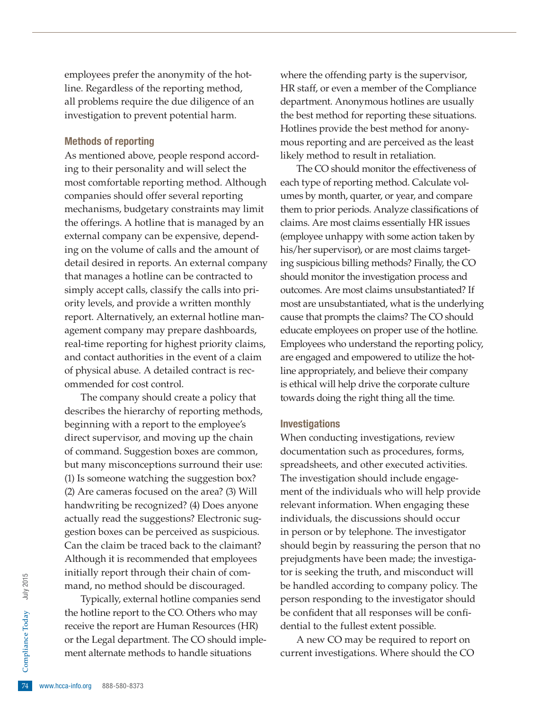employees prefer the anonymity of the hotline. Regardless of the reporting method, all problems require the due diligence of an investigation to prevent potential harm.

#### Methods of reporting

As mentioned above, people respond according to their personality and will select the most comfortable reporting method. Although companies should offer several reporting mechanisms, budgetary constraints may limit the offerings. A hotline that is managed by an external company can be expensive, depending on the volume of calls and the amount of detail desired in reports. An external company that manages a hotline can be contracted to simply accept calls, classify the calls into priority levels, and provide a written monthly report. Alternatively, an external hotline management company may prepare dashboards, real-time reporting for highest priority claims, and contact authorities in the event of a claim of physical abuse. A detailed contract is recommended for cost control.

The company should create a policy that describes the hierarchy of reporting methods, beginning with a report to the employee's direct supervisor, and moving up the chain of command. Suggestion boxes are common, but many misconceptions surround their use: (1) Is someone watching the suggestion box? (2) Are cameras focused on the area? (3) Will handwriting be recognized? (4) Does anyone actually read the suggestions? Electronic suggestion boxes can be perceived as suspicious. Can the claim be traced back to the claimant? Although it is recommended that employees initially report through their chain of command, no method should be discouraged.

or the Legal department. The CO should implement alternate methods to handle situations<br>  $\frac{5}{24}$  www.hcca-info.org 888-580-8373 Typically, external hotline companies send the hotline report to the CO. Others who may receive the report are Human Resources (HR) ment alternate methods to handle situations

where the offending party is the supervisor, HR staff, or even a member of the Compliance department. Anonymous hotlines are usually the best method for reporting these situations. Hotlines provide the best method for anonymous reporting and are perceived as the least likely method to result in retaliation.

The CO should monitor the effectiveness of each type of reporting method. Calculate volumes by month, quarter, or year, and compare them to prior periods. Analyze classifications of claims. Are most claims essentially HR issues (employee unhappy with some action taken by his/her supervisor), or are most claims targeting suspicious billing methods? Finally, the CO should monitor the investigation process and outcomes. Are most claims unsubstantiated? If most are unsubstantiated, what is the underlying cause that prompts the claims? The CO should educate employees on proper use of the hotline. Employees who understand the reporting policy, are engaged and empowered to utilize the hotline appropriately, and believe their company is ethical will help drive the corporate culture towards doing the right thing all the time.

#### Investigations

When conducting investigations, review documentation such as procedures, forms, spreadsheets, and other executed activities. The investigation should include engagement of the individuals who will help provide relevant information. When engaging these individuals, the discussions should occur in person or by telephone. The investigator should begin by reassuring the person that no prejudgments have been made; the investigator is seeking the truth, and misconduct will be handled according to company policy. The person responding to the investigator should be confident that all responses will be confidential to the fullest extent possible.

A new CO may be required to report on current investigations. Where should the CO